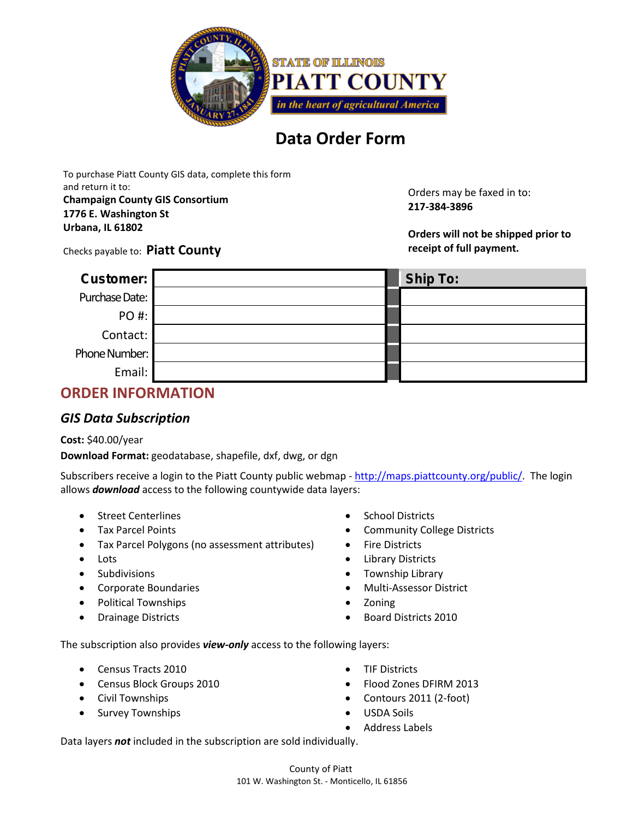

# **Data Order Form**

To purchase Piatt County GIS data, complete this form and return it to: **Champaign County GIS Consortium**

**1776 E. Washington St Urbana, IL 61802**

Orders may be faxed in to: **217-384-3896**

**Orders will not be shipped prior to receipt of full payment.**

#### Checks payable to: **Piatt County**

| Customer:      | <b>Ship To:</b> |
|----------------|-----------------|
| Purchase Date: |                 |
| PO #:          |                 |
| Contact:       |                 |
| Phone Number:  |                 |
| Email:         |                 |

## **ORDER INFORMATION**

## *GIS Data Subscription*

#### **Cost:** \$40.00/year

**Download Format:** geodatabase, shapefile, dxf, dwg, or dgn

Subscribers receive a login to the Piatt County public webmap - [http://maps.piattcounty.org/public/.](http://maps.piattcounty.org/public/) The login allows *download* access to the following countywide data layers:

- Street Centerlines
- Tax Parcel Points
- Tax Parcel Polygons (no assessment attributes)
- Lots
- Subdivisions
- Corporate Boundaries
- Political Townships
- Drainage Districts
- School Districts
- Community College Districts
- Fire Districts
- Library Districts
- Township Library
- Multi-Assessor District
- Zoning
- Board Districts 2010

The subscription also provides *view-only* access to the following layers:

- Census Tracts 2010
- Census Block Groups 2010
- Civil Townships
- Survey Townships
- TIF Districts
- Flood Zones DFIRM 2013
- Contours 2011 (2-foot)
- USDA Soils
- Address Labels

Data layers *not* included in the subscription are sold individually.